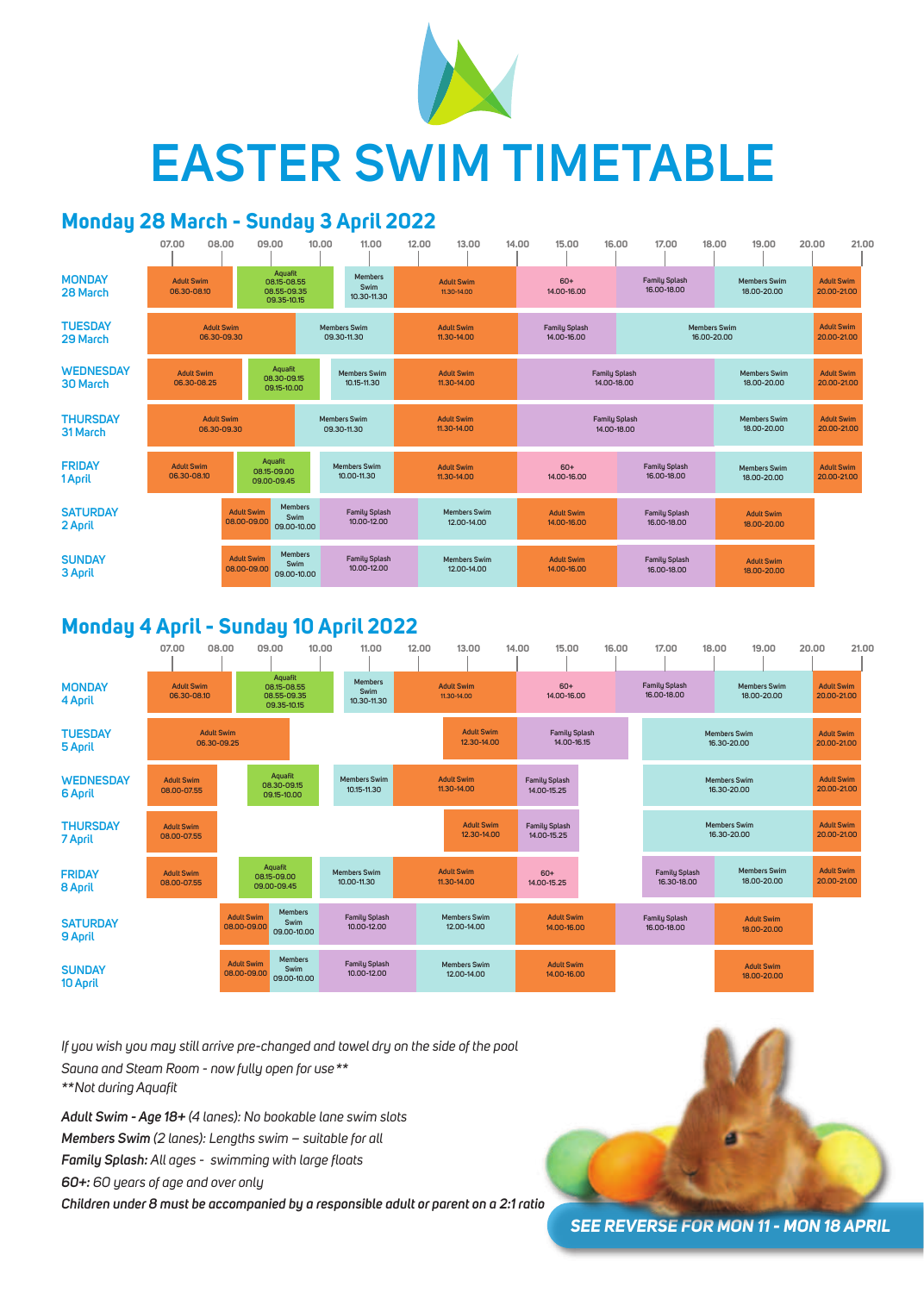## **Monday 28 March - Sunday 3 April 2022**

|                                     | 07.00                            | 08.00                            | 09.00                                                |                                       | 10.00                              | 11.00                                 | 12.00 | 13.00                              | 14.00 |                                     | 15.00                            | 16.00                               | 17.00                               | 18.00                              | 19.00                              | 20.00                            | 21.00                            |  |
|-------------------------------------|----------------------------------|----------------------------------|------------------------------------------------------|---------------------------------------|------------------------------------|---------------------------------------|-------|------------------------------------|-------|-------------------------------------|----------------------------------|-------------------------------------|-------------------------------------|------------------------------------|------------------------------------|----------------------------------|----------------------------------|--|
| <b>MONDAY</b><br>28 March           | <b>Adult Swim</b><br>06.30-08.10 |                                  | Aquafit<br>08.15-08.55<br>08.55-09.35<br>09.35-10.15 |                                       |                                    | <b>Members</b><br>Swim<br>10.30-11.30 |       | <b>Adult Swim</b><br>11.30-14.00   |       | $60+$<br>14.00-16.00                |                                  | <b>Family Splash</b><br>16,00-18,00 |                                     | <b>Members Swim</b><br>18.00-20.00 |                                    | <b>Adult Swim</b><br>20.00-21.00 |                                  |  |
| <b>TUESDAY</b><br>29 March          |                                  | <b>Adult Swim</b><br>06.30-09.30 |                                                      |                                       | <b>Members Swim</b><br>09.30-11.30 |                                       |       | <b>Adult Swim</b><br>11.30-14.00   |       | <b>Family Splash</b><br>14.00-16.00 |                                  |                                     | <b>Members Swim</b><br>16.00-20.00  |                                    |                                    |                                  | <b>Adult Swim</b><br>20.00-21.00 |  |
| <b>WEDNESDAY</b><br><b>30 March</b> | <b>Adult Swim</b><br>06.30-08.25 |                                  |                                                      | Aquafit<br>08.30-09.15<br>09.15-10.00 |                                    | <b>Members Swim</b><br>10.15-11.30    |       | <b>Adult Swim</b><br>11.30-14.00   |       |                                     |                                  | <b>Family Splash</b><br>14.00-18.00 |                                     |                                    | <b>Members Swim</b><br>18.00-20.00 |                                  | <b>Adult Swim</b><br>20.00-21.00 |  |
| <b>THURSDAY</b><br>31 March         |                                  | <b>Adult Swim</b><br>06.30-09.30 |                                                      |                                       | <b>Members Swim</b><br>09.30-11.30 |                                       |       | <b>Adult Swim</b><br>11.30-14.00   |       | <b>Family Splash</b><br>14.00-18.00 |                                  |                                     |                                     |                                    | <b>Members Swim</b><br>18.00-20.00 |                                  | <b>Adult Swim</b><br>20.00-21.00 |  |
| <b>FRIDAY</b><br>1 April            | <b>Adult Swim</b><br>06.30-08.10 |                                  | Aquafit<br>08.15-09.00<br>09.00-09.45                |                                       |                                    | <b>Members Swim</b><br>10.00-11.30    |       | <b>Adult Swim</b><br>11.30-14.00   |       |                                     | $60+$<br>14.00-16.00             |                                     | <b>Family Splash</b><br>16.00-18.00 |                                    | <b>Members Swim</b><br>18.00-20.00 |                                  | <b>Adult Swim</b><br>20.00-21.00 |  |
| <b>SATURDAY</b><br>2 April          |                                  |                                  | <b>Adult Swim</b><br>08.00-09.00                     | <b>Members</b><br>Swim<br>09.00-10.00 |                                    | <b>Family Splash</b><br>10.00-12.00   |       | <b>Members Swim</b><br>12.00-14.00 |       |                                     | <b>Adult Swim</b><br>14.00-16.00 |                                     | <b>Family Splash</b><br>16.00-18.00 |                                    | <b>Adult Swim</b><br>18.00-20.00   |                                  |                                  |  |
| <b>SUNDAY</b><br>3 April            |                                  |                                  | <b>Adult Swim</b><br>08.00-09.00                     | <b>Members</b><br>Swim<br>09.00-10.00 |                                    | <b>Family Splash</b><br>10.00-12.00   |       | <b>Members Swim</b><br>12.00-14.00 |       |                                     | <b>Adult Swim</b><br>14.00-16.00 |                                     | <b>Family Splash</b><br>16.00-18.00 |                                    | <b>Adult Swim</b><br>18.00-20.00   |                                  |                                  |  |



| $09.00-10.00$ | . |  |
|---------------|---|--|
|               |   |  |



# **EASTER SWIM TIMETABLE**

#### **Monday 4 April - Sunday 10 April 2022**

*If you wish you may still arrive pre-changed and towel dry on the side of the pool Sauna and Steam Room - now fully open for use\*\* \*\*Not during Aquafit* 

*Adult Swim - Age 18+ (4 lanes): No bookable lane swim slots Members Swim (2 lanes): Lengths swim – suitable for all Family Splash: All ages - swimming with large floats 60+: 60 years of age and over only*

*Children under 8 must be accompanied by a responsible adult or parent on a 2:1 ratio*